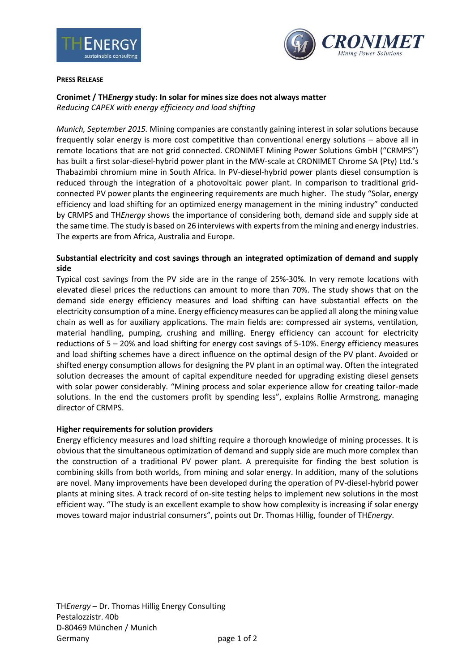



#### **PRESS RELEASE**

## **Cronimet / TH***Energy* **study: In solar for mines size does not always matter** *Reducing CAPEX with energy efficiency and load shifting*

*Munich, September 2015.* Mining companies are constantly gaining interest in solar solutions because frequently solar energy is more cost competitive than conventional energy solutions – above all in remote locations that are not grid connected. CRONIMET Mining Power Solutions GmbH ("CRMPS") has built a first solar-diesel-hybrid power plant in the MW-scale at CRONIMET Chrome SA (Pty) Ltd.'s Thabazimbi chromium mine in South Africa. In PV-diesel-hybrid power plants diesel consumption is reduced through the integration of a photovoltaic power plant. In comparison to traditional gridconnected PV power plants the engineering requirements are much higher. The study "Solar, energy efficiency and load shifting for an optimized energy management in the mining industry" conducted by CRMPS and TH*Energy* shows the importance of considering both, demand side and supply side at the same time. The study is based on 26 interviews with experts from the mining and energy industries. The experts are from Africa, Australia and Europe.

## **Substantial electricity and cost savings through an integrated optimization of demand and supply side**

Typical cost savings from the PV side are in the range of 25%-30%. In very remote locations with elevated diesel prices the reductions can amount to more than 70%. The study shows that on the demand side energy efficiency measures and load shifting can have substantial effects on the electricity consumption of a mine. Energy efficiency measures can be applied all along the mining value chain as well as for auxiliary applications. The main fields are: compressed air systems, ventilation, material handling, pumping, crushing and milling. Energy efficiency can account for electricity reductions of 5 – 20% and load shifting for energy cost savings of 5-10%. Energy efficiency measures and load shifting schemes have a direct influence on the optimal design of the PV plant. Avoided or shifted energy consumption allows for designing the PV plant in an optimal way. Often the integrated solution decreases the amount of capital expenditure needed for upgrading existing diesel gensets with solar power considerably. "Mining process and solar experience allow for creating tailor-made solutions. In the end the customers profit by spending less", explains Rollie Armstrong, managing director of CRMPS.

### **Higher requirements for solution providers**

Energy efficiency measures and load shifting require a thorough knowledge of mining processes. It is obvious that the simultaneous optimization of demand and supply side are much more complex than the construction of a traditional PV power plant. A prerequisite for finding the best solution is combining skills from both worlds, from mining and solar energy. In addition, many of the solutions are novel. Many improvements have been developed during the operation of PV-diesel-hybrid power plants at mining sites. A track record of on-site testing helps to implement new solutions in the most efficient way. "The study is an excellent example to show how complexity is increasing if solar energy moves toward major industrial consumers", points out Dr. Thomas Hillig, founder of TH*Energy*.